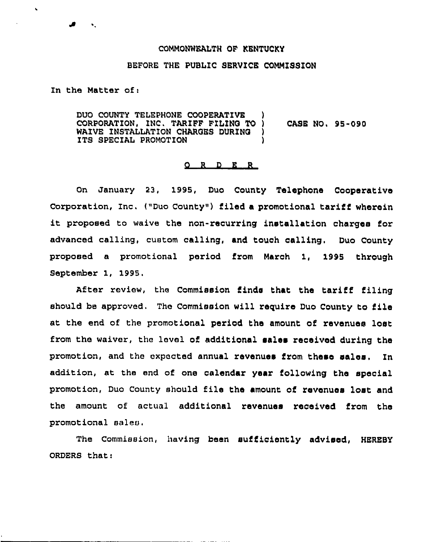## COMMONWEALTH OF KENTUCKY

## BEFORE THE PUBLIC SERVICE COMMZSSZON

In the Matter of:

 $\mathbf{v}$  .

DUO COUNTY TELEPHONE COOPERATIVE )<br>CORPORATION. INC. TARIFF FILING TO ) CORPORATION, INC, TAR1FF FZL1NQ TO ) CASE NO, 95-090 WAIVE INSTALLATION CHARGES DURING ITS SPECIAL PROMOTION

## 0 <sup>R</sup> b <sup>R</sup> <sup>R</sup>

on January 23, 1995, Duo County Telephone Cooperative Corporation, Inc. ("Duo County") filed a promotional tariff wherein it proposed to waive the non-recurring installation charges for advanced calling, custom calling, and touch calling, Duo County proposed a promotional period from March 1, 1995 through September 1, 1995.

After review, the Commission finds that the tariff filing should be approved. The Commission will require Duo County to file at the end of the promotional period the amount of revenues lost from the waiver, the level of additional sales received during the promotion, and the expected annual revenues from these sales. In addition, at the end of one calendar year following the special promotion, Duo County should file the amount of revenues lost and the amount of actual additional revenues received from the promotional sales.

The Commission, having been sufficiently advised, HEREBY ORDERS that:

 $\ddot{\phantom{a}}$